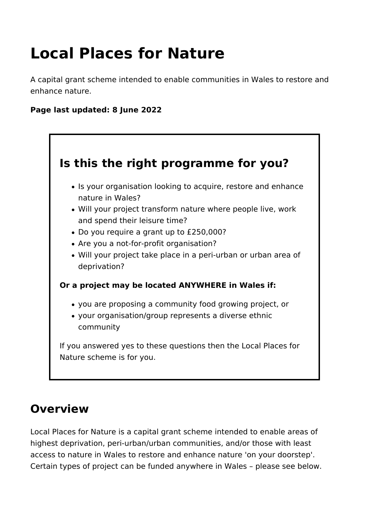# **Local Places for Nature**

A capital grant scheme intended to enable communities in Wales to restore and enhance nature.

## **Page last updated: 8 June 2022**



## **Overview**

Local Places for Nature is a capital grant scheme intended to enable areas of highest deprivation, peri-urban/urban communities, and/or those with least access to nature in Wales to restore and enhance nature 'on your doorstep'. Certain types of project can be funded anywhere in Wales – please see below.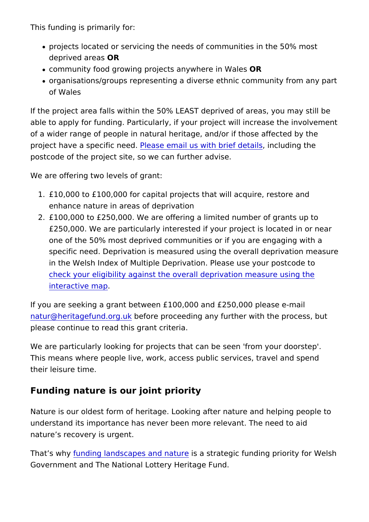This funding is primarily for:

- projects located or servicing the needs of communities in th deprived ar@ Rs
- . community food growing projects anyw@Rre in Wales
- organisations/groups representing a diverse ethnic community of Wales

If the project area falls within the 50% LEAST deprived of areas able to apply for funding. Particularly, if your project will incre of a wider range of people in natural heritage, and/or if those a project have a specif P de as edemail us with brief nellent daining the postcode of the project site, so we can further advise.

We are offering two levels of grant:

- 1. $£10,000$  to  $£100,000$  for capital projects that will acquire, restore and enhance nature in areas of deprivation
- $2.E100,000$  to  $E250,000$ . We are offering a limited number of  $g$ £250,000. We are particularly interested if your project is Idential one of the 50% most deprived communities or if you are eng specific need. Deprivation is measured using the overall dep in the Welsh Index of Multiple Deprivation. Please use your [check your eligibility against the overall deprivati](https://statswales.gov.wales/Catalogue/Community-Safety-and-Social-Inclusion/Welsh-Index-of-Multiple-Deprivation/WIMD-maps-2019)on measure [interactive](https://statswales.gov.wales/Catalogue/Community-Safety-and-Social-Inclusion/Welsh-Index-of-Multiple-Deprivation/WIMD-maps-2019) map .

If you are seeking a grant between  $£100,000$  and  $£250,000$  plea  $n$ atur@heritagefund.before proceeding any further with the proc please continue to read this grant criteria.

We are particularly looking for projects that can be seen 'from This means where people live, work, access public services, tra their leisure time.

Funding nature is our joint priority

Nature is our oldest form of heritage. Looking after nature and understand its importance has never been more relevant. The n nature s recovery is urgent.

That s wfluy nding landscapes and snature ategic funding priority for Government and The National Lottery Heritage Fund.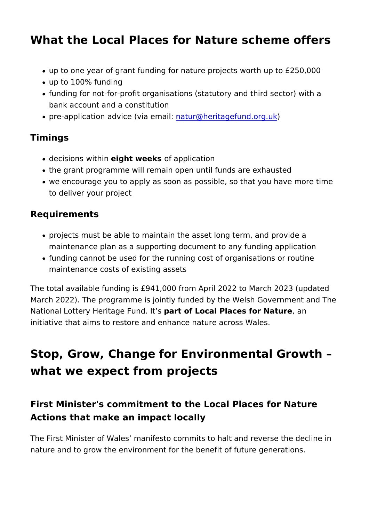## What the Local Places for Nature scheme of

- up to one year of grant funding for nature projects worth up
- up to 100% funding
- funding for not-for-profit organisations (statutory and third bank account and a constitution
- pre-application advice (nieatuern@ahie:ritagefund).org.uk

#### Timings

- $\bullet$  decisiow sthin eight weeks application
- the grant programme will remain open until funds are exhaus
- we encourage you to apply as soon as possible, so that you to deliver your project

Requirements

- projects must be able to maintain the asset long term, and p maintenance plan as a supporting document to any funding a
- funding cannot be used for the running cost of organisations maintenance costs of existing assets

The total available funding is  $£941,000$  from April 2022 to Marc March 2022). The programme is jointly funded by the Welsh Gov National Lottery Heritagep Fauth of Lioscal Places for Nature initiative that aims to restore and enhance nature across Wales.

## Stop, Grow, Change for Environmental Gro what we expect from projects

First Minister's commitment to the Local Places for Na Actions that make an impact locally

The First Minister of Wales manifesto commits to halt and reve nature and to grow the environment for the benefit of future generations.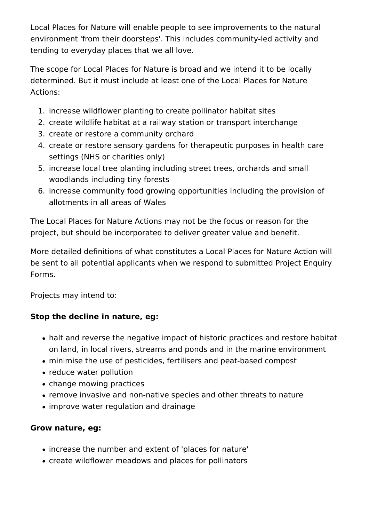Local Places for Nature will enable people to see improvements to the natural environment 'from their doorsteps'. This includes community-led activity and tending to everyday places that we all love.

The scope for Local Places for Nature is broad and we intend it to be locally determined. But it must include at least one of the Local Places for Nature Actions:

- 1. increase wildflower planting to create pollinator habitat sites
- 2. create wildlife habitat at a railway station or transport interchange
- 3. create or restore a community orchard
- 4. create or restore sensory gardens for therapeutic purposes in health care settings (NHS or charities only)
- 5. increase local tree planting including street trees, orchards and small woodlands including tiny forests
- 6. increase community food growing opportunities including the provision of allotments in all areas of Wales

The Local Places for Nature Actions may not be the focus or reason for the project, but should be incorporated to deliver greater value and benefit.

More detailed definitions of what constitutes a Local Places for Nature Action will be sent to all potential applicants when we respond to submitted Project Enquiry Forms.

Projects may intend to:

### **Stop the decline in nature, eg:**

- halt and reverse the negative impact of historic practices and restore habitat on land, in local rivers, streams and ponds and in the marine environment
- minimise the use of pesticides, fertilisers and peat-based compost
- reduce water pollution
- change mowing practices
- remove invasive and non-native species and other threats to nature
- improve water regulation and drainage

### **Grow nature, eg:**

- increase the number and extent of 'places for nature'
- create wildflower meadows and places for pollinators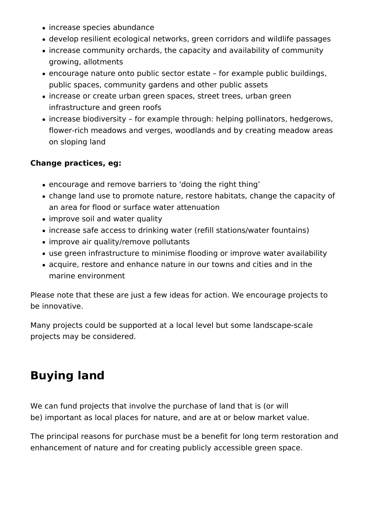- increase species abundance
- develop resilient ecological networks, green corridors and wildlife passages
- increase community orchards, the capacity and availability of community growing, allotments
- encourage nature onto public sector estate for example public buildings, public spaces, community gardens and other public assets
- increase or create urban green spaces, street trees, urban green infrastructure and green roofs
- increase biodiversity for example through: helping pollinators, hedgerows, flower-rich meadows and verges, woodlands and by creating meadow areas on sloping land

#### **Change practices, eg:**

- encourage and remove barriers to 'doing the right thing'
- change land use to promote nature, restore habitats, change the capacity of an area for flood or surface water attenuation
- improve soil and water quality
- increase safe access to drinking water (refill stations/water fountains)
- improve air quality/remove pollutants
- use green infrastructure to minimise flooding or improve water availability
- acquire, restore and enhance nature in our towns and cities and in the marine environment

Please note that these are just a few ideas for action. We encourage projects to be innovative.

Many projects could be supported at a local level but some landscape-scale projects may be considered.

## **Buying land**

We can fund projects that involve the purchase of land that is (or will be) important as local places for nature, and are at or below market value.

The principal reasons for purchase must be a benefit for long term restoration and enhancement of nature and for creating publicly accessible green space.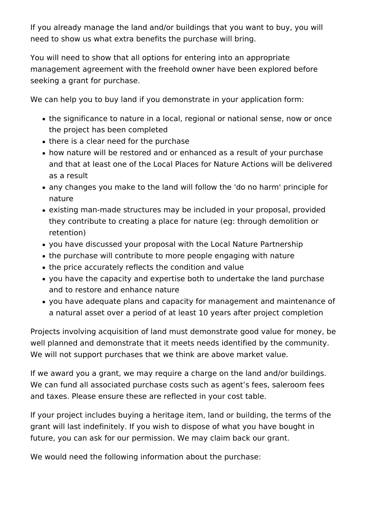If you already manage the land and/or buildings that you want to buy, you will need to show us what extra benefits the purchase will bring.

You will need to show that all options for entering into an appropriate management agreement with the freehold owner have been explored before seeking a grant for purchase.

We can help you to buy land if you demonstrate in your application form:

- the significance to nature in a local, regional or national sense, now or once the project has been completed
- there is a clear need for the purchase
- how nature will be restored and or enhanced as a result of your purchase and that at least one of the Local Places for Nature Actions will be delivered as a result
- any changes you make to the land will follow the 'do no harm' principle for nature
- existing man-made structures may be included in your proposal, provided they contribute to creating a place for nature (eg: through demolition or retention)
- you have discussed your proposal with the Local Nature Partnership
- the purchase will contribute to more people engaging with nature
- the price accurately reflects the condition and value
- you have the capacity and expertise both to undertake the land purchase and to restore and enhance nature
- you have adequate plans and capacity for management and maintenance of a natural asset over a period of at least 10 years after project completion

Projects involving acquisition of land must demonstrate good value for money, be well planned and demonstrate that it meets needs identified by the community. We will not support purchases that we think are above market value.

If we award you a grant, we may require a charge on the land and/or buildings. We can fund all associated purchase costs such as agent's fees, saleroom fees and taxes. Please ensure these are reflected in your cost table.

If your project includes buying a heritage item, land or building, the terms of the grant will last indefinitely. If you wish to dispose of what you have bought in future, you can ask for our permission. We may claim back our grant.

We would need the following information about the purchase: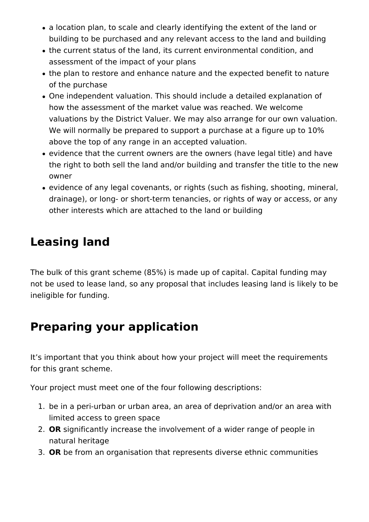- a location plan, to scale and clearly identifying the extent of the land or building to be purchased and any relevant access to the land and building
- the current status of the land, its current environmental condition, and assessment of the impact of your plans
- the plan to restore and enhance nature and the expected benefit to nature of the purchase
- One independent valuation. This should include a detailed explanation of how the assessment of the market value was reached. We welcome valuations by the District Valuer. We may also arrange for our own valuation. We will normally be prepared to support a purchase at a figure up to 10% above the top of any range in an accepted valuation.
- evidence that the current owners are the owners (have legal title) and have the right to both sell the land and/or building and transfer the title to the new owner
- evidence of any legal covenants, or rights (such as fishing, shooting, mineral, drainage), or long- or short-term tenancies, or rights of way or access, or any other interests which are attached to the land or building

## **Leasing land**

The bulk of this grant scheme (85%) is made up of capital. Capital funding may not be used to lease land, so any proposal that includes leasing land is likely to be ineligible for funding.

## **Preparing your application**

It's important that you think about how your project will meet the requirements for this grant scheme.

Your project must meet one of the four following descriptions:

- 1. be in a peri-urban or urban area, an area of deprivation and/or an area with limited access to green space
- 2. **OR** significantly increase the involvement of a wider range of people in natural heritage
- 3. **OR** be from an organisation that represents diverse ethnic communities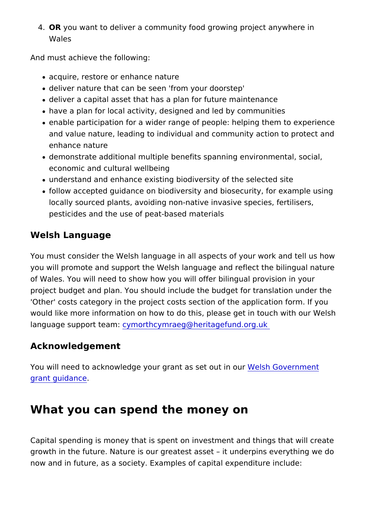4. OR you want to deliver a community food growing project any Wales

And must achieve the following:

- acquire, restore or enhance nature
- deliver nature that can be seen 'from your doorstep'
- deliver a capital asset that has a plan for future maintenand
- have a plan for local activity, designed and led by communit
- $\bullet$  enable participation for a wider range of people: helping the and value nature, leading to individual and community action enhance nature
- demonstrate additional multiple benefits spanning environme economic and cultural wellbeing
- understand and enhance existing biodiversity of the selecte
- follow accepted guidance on biodiversity and biosecurity, fo locally sourced plants, avoiding non-native invasive species pesticides and the use of peat-based materials

#### Welsh Language

You must consider the Welsh language in all aspects of your wo you will promote and support the Welsh language and reflect th of Wales. You will need to show how you will offer bilingual pro project budget and plan. You should include the budget for tran 'Other' costs category in the project costs section of the applic would like more information on how to do this, please get in tou language support demonthcymraeg@heritagefund.org.uk

#### Acknowledgement

You will need to acknowledge your grant  $W \circ W$  is the outernment [grant guida](https://www.heritagefund.org.uk/funding/logo/nature-networks-fund/acknowledgement)nce .

#### What you can spend the money on

Capital spending is money that is spent on investment and thing growth in the future. Nature is our greatest asset it underpins now and in future, as a society. Examples of capital expenditur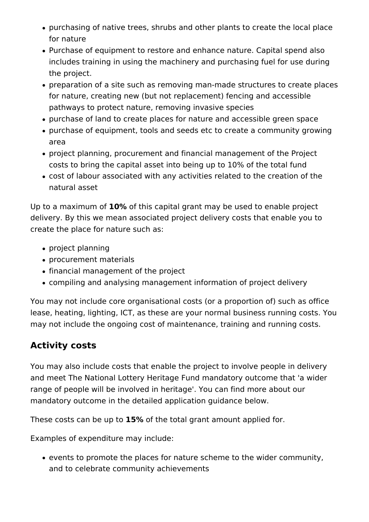- purchasing of native trees, shrubs and other plants to create the local place for nature
- Purchase of equipment to restore and enhance nature. Capital spend also includes training in using the machinery and purchasing fuel for use during the project.
- preparation of a site such as removing man-made structures to create places for nature, creating new (but not replacement) fencing and accessible pathways to protect nature, removing invasive species
- purchase of land to create places for nature and accessible green space
- purchase of equipment, tools and seeds etc to create a community growing area
- project planning, procurement and financial management of the Project costs to bring the capital asset into being up to 10% of the total fund
- cost of labour associated with any activities related to the creation of the natural asset

Up to a maximum of **10%** of this capital grant may be used to enable project delivery. By this we mean associated project delivery costs that enable you to create the place for nature such as:

- project planning
- procurement materials
- financial management of the project
- compiling and analysing management information of project delivery

You may not include core organisational costs (or a proportion of) such as office lease, heating, lighting, ICT, as these are your normal business running costs. You may not include the ongoing cost of maintenance, training and running costs.

## **Activity costs**

You may also include costs that enable the project to involve people in delivery and meet The National Lottery Heritage Fund mandatory outcome that 'a wider range of people will be involved in heritage'. You can find more about our mandatory outcome in the detailed application guidance below.

These costs can be up to **15%** of the total grant amount applied for.

Examples of expenditure may include:

events to promote the places for nature scheme to the wider community, and to celebrate community achievements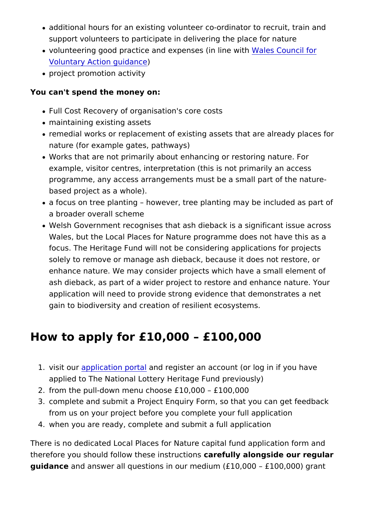- additional hours for an existing volunteer co-ordinator to re support volunteers to participate in delivering the place for
- . volunteering good practice and expenses ales Comenwith for [Voluntary Action g](https://wcva.cymru/wp-content/uploads/2020/01/Model-volunteering-policy.pdf)uidance
- project promotion activity

You can't spend the money on:

- Full Cost Recovery of organisation's core costs
- maintaining existing assets
- remedial works or replacement of existing assets that are al nature (for example gates, pathways)
- . Works that are not primarily about enhancing or restoring na example, visitor centres, interpretation (this is not primarily programme, any access arrangements must be a small part of based project as a whole).
- a focus on tree planting however, tree planting may be inc a broader overall scheme
- Welsh Government recognises that ash dieback is a significa Wales, but the Local Places for Nature programme does not focus. The Heritage Fund will not be considering application solely to remove or manage ash dieback, because it does no enhance nature. We may consider projects which have a small ash dieback, as part of a wider project to restore and enhan application will need to provide strong evidence that demon gain to biodiversity and creation of resilient ecosystems.

## How to apply for £10,000 £100,000

- 1. visit oupplication pantal register an account (or log in if you applied to The National Lottery Heritage Fund previously)
- 2.from the pull-down menu choose £10,000 £100,000
- 3. complete and submit a Project Enquiry Form, so that you ca from us on your project before you complete your full applic 4.when you are ready, complete and submit a full application

There is no dedicated Local Places for Nature capital fund appl therefore you should follow these cansfull by interpretice our regular guidance and answer all questions in our medium  $(E10,000 - E100)$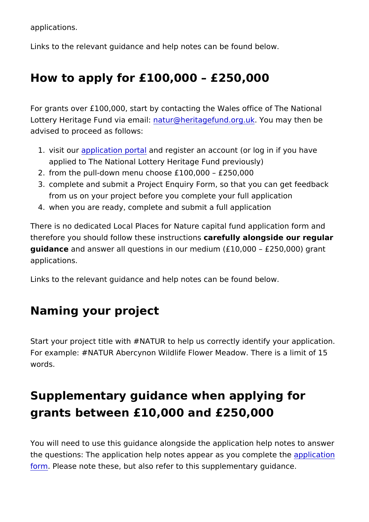applications.

Links to the relevant guidance and help notes can be found below

## How to apply for £100,000 £250,000

For grants over  $£100,000$ , start by contacting the Wales office Lottery Heritage Fund vnaturm@hleritagefund.orguumkay then be advised to proceed as follows:

- 1. visit oupplication pantal register an account (or log in if you applied to The National Lottery Heritage Fund previously)
- 2.from the pull-down menu choose £100,000 £250,000
- 3. complete and submit a Project Enquiry Form, so that you ca from us on your project before you complete your full applic 4.when you are ready, complete and submit a full application

There is no dedicated Local Places for Nature capital fund appl therefore you should follow thesecanstulucy indivions gside our regular guidance and answer all questions in our medium  $(E10,000 - E250)$ applications.

Links to the relevant guidance and help notes can be found below

## Naming your project

Start your project title with #NATUR to help us correctly identif For example: #NATUR Abercynon Wildlife Flower Meadow. There words.

## Supplementary guidance when applying for grants between £10,000 and £250,000

You will need to use this guidance alongside the application he the questions: The [applicat](https://www.heritagefund.org.uk/funding/sign-in)ion help notes appear appy bouation ple [form](https://www.heritagefund.org.uk/funding/sign-in) Please note these, but also refer to this supplementary gu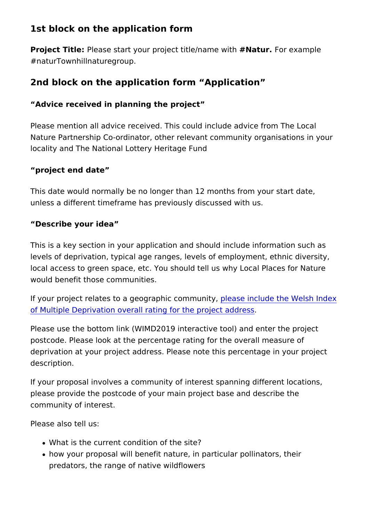1st block on the application form

Project TitPelease start your project titl# Maatmone Fworthexample #naturTownhillnaturegroup.

2nd block on the application form Application

Advice received in planning the project

Please mention all advice received. This could include advice f Nature Partnership Co-ordinator, other relevant community orga locality and The National Lottery Heritage Fund

project end date

This date would normally be no longer than 12 months from you unless a different timeframe has previously discussed with us.

Describe your idea

This is a key section in your application and should include information  $s$ levels of deprivation, typical age ranges, levels of employment, local access to green space, etc. You should tell us why Local would benefit those communities.

If your project relates to a geographic community the Welsh In [of Multiple Deprivation overall rating for t](https://statswales.gov.wales/Catalogue/Community-Safety-and-Social-Inclusion/Welsh-Index-of-Multiple-Deprivation/WIMD-maps-2019)he project address

Please use the bottom link (WIMD2019 interactive tool) and ent postcode. Please look at the percentage rating for the overall n deprivation at your project address. Please note this percentag description.

If your proposal involves a community of interest spanning diffe please provide the postcode of your main project base and desc community of interest.

Please also tell us:

- What is the current condition of the site?
- how your proposal will benefit nature, in particular pollinato predators, the range of native wildflowers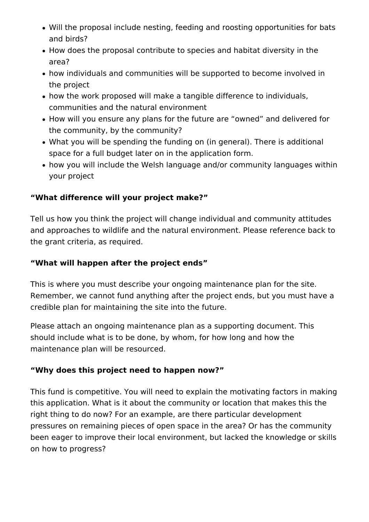- Will the proposal include nesting, feeding and roosting opportunities for bats and birds?
- How does the proposal contribute to species and habitat diversity in the area?
- how individuals and communities will be supported to become involved in the project
- how the work proposed will make a tangible difference to individuals, communities and the natural environment
- How will you ensure any plans for the future are "owned" and delivered for the community, by the community?
- What you will be spending the funding on (in general). There is additional space for a full budget later on in the application form.
- how you will include the Welsh language and/or community languages within your project

## **"What difference will your project make?"**

Tell us how you think the project will change individual and community attitudes and approaches to wildlife and the natural environment. Please reference back to the grant criteria, as required.

### **"What will happen after the project ends"**

This is where you must describe your ongoing maintenance plan for the site. Remember, we cannot fund anything after the project ends, but you must have a credible plan for maintaining the site into the future.

Please attach an ongoing maintenance plan as a supporting document. This should include what is to be done, by whom, for how long and how the maintenance plan will be resourced.

### **"Why does this project need to happen now?"**

This fund is competitive. You will need to explain the motivating factors in making this application. What is it about the community or location that makes this the right thing to do now? For an example, are there particular development pressures on remaining pieces of open space in the area? Or has the community been eager to improve their local environment, but lacked the knowledge or skills on how to progress?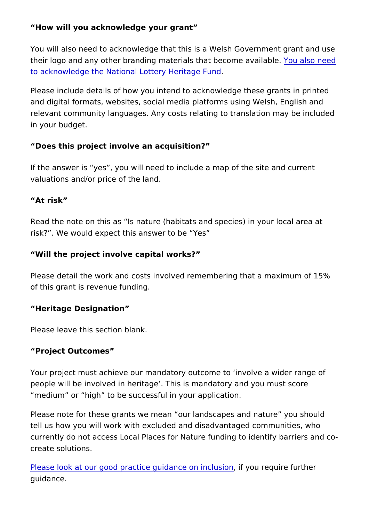How will you acknowledge your grant

You will also need to acknowledge that this is a Welsh Governm their logo and any other branding materials that **Ybecahse avaidat** [to acknowledge the National Lottery](https://www.heritagefund.org.uk/funding/logo/welsh-government-grant/acknowledgement) Heritage Fund

Please include details of how you intend to acknowledge these and digital formats, websites, social media platforms using Wel relevant community languages. Any costs relating to translation in your budget.

Does this project involve an acquisition?

If the answer is yes, you will need to include a map of the sit valuations and/or price of the land.

At risk

Read the note on this as Is nature (habitats and species) in yo risk? . We would expect this answer to be Yes

Will the project involve capital works?

Please detail the work and costs involved remembering that a m of this grant is revenue funding.

Heritage Designation

Please leave this section blank.

Project Outcomes

Your project must achieve our mandatory outcome to involve a people will be involved in heritage. This is mandatory and you medium or high to be successful in your application.

Please note for these grants we mean our landscapes and natu tell us how you will work with excluded and disadvantaged comm currently do not access Local Places for Nature funding to iden create solutions.

[Please look at our good practice guida](https://www.heritagefund.org.uk/funding/good-practice-guidance/inclusion)nce you ineedusrien further guidance.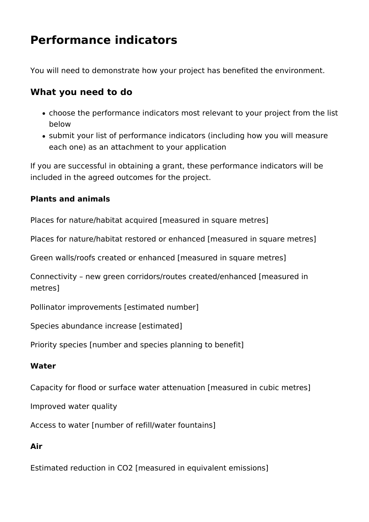## **Performance indicators**

You will need to demonstrate how your project has benefited the environment.

## **What you need to do**

- choose the performance indicators most relevant to your project from the list below
- submit your list of performance indicators (including how you will measure each one) as an attachment to your application

If you are successful in obtaining a grant, these performance indicators will be included in the agreed outcomes for the project.

### **Plants and animals**

Places for nature/habitat acquired [measured in square metres]

Places for nature/habitat restored or enhanced [measured in square metres]

Green walls/roofs created or enhanced [measured in square metres]

Connectivity – new green corridors/routes created/enhanced [measured in metres]

Pollinator improvements [estimated number]

Species abundance increase [estimated]

Priority species [number and species planning to benefit]

### **Water**

Capacity for flood or surface water attenuation [measured in cubic metres]

Improved water quality

Access to water [number of refill/water fountains]

## **Air**

Estimated reduction in CO2 [measured in equivalent emissions]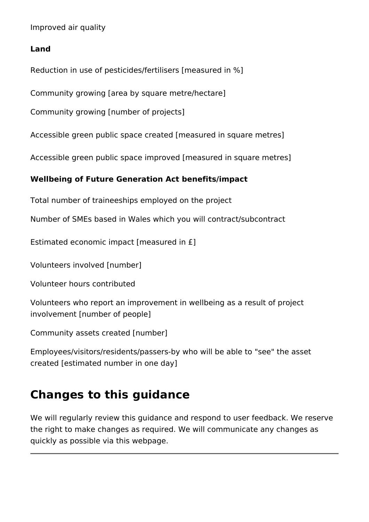Improved air quality

#### **Land**

Reduction in use of pesticides/fertilisers [measured in %]

Community growing [area by square metre/hectare]

Community growing [number of projects]

Accessible green public space created [measured in square metres]

Accessible green public space improved [measured in square metres]

### **Wellbeing of Future Generation Act benefits/impact**

Total number of traineeships employed on the project

Number of SMEs based in Wales which you will contract/subcontract

Estimated economic impact [measured in £]

Volunteers involved [number]

Volunteer hours contributed

Volunteers who report an improvement in wellbeing as a result of project involvement [number of people]

Community assets created [number]

Employees/visitors/residents/passers-by who will be able to "see" the asset created [estimated number in one day]

## **Changes to this guidance**

We will regularly review this guidance and respond to user feedback. We reserve the right to make changes as required. We will communicate any changes as quickly as possible via this webpage.